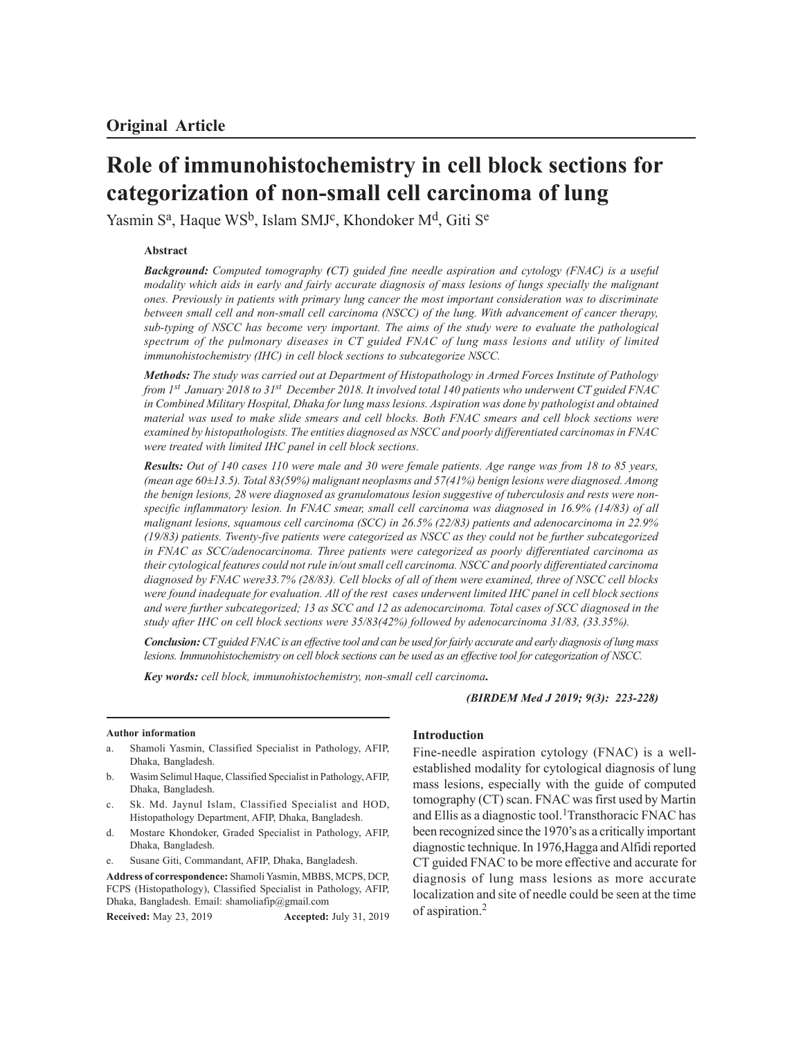# **Role of immunohistochemistry in cell block sections for categorization of non-small cell carcinoma of lung**

Yasmin S<sup>a</sup>, Haque WS<sup>b</sup>, Islam SMJ<sup>c</sup>, Khondoker M<sup>d</sup>, Giti S<sup>e</sup>

## **Abstract**

*Background: Computed tomography (CT) guided fine needle aspiration and cytology (FNAC) is a useful modality which aids in early and fairly accurate diagnosis of mass lesions of lungs specially the malignant ones. Previously in patients with primary lung cancer the most important consideration was to discriminate between small cell and non-small cell carcinoma (NSCC) of the lung. With advancement of cancer therapy, sub-typing of NSCC has become very important. The aims of the study were to evaluate the pathological spectrum of the pulmonary diseases in CT guided FNAC of lung mass lesions and utility of limited immunohistochemistry (IHC) in cell block sections to subcategorize NSCC.*

*Methods: The study was carried out at Department of Histopathology in Armed Forces Institute of Pathology from 1st January 2018 to 31st December 2018. It involved total 140 patients who underwent CT guided FNAC in Combined Military Hospital, Dhaka for lung mass lesions. Aspiration was done by pathologist and obtained material was used to make slide smears and cell blocks. Both FNAC smears and cell block sections were examined by histopathologists. The entities diagnosed as NSCC and poorly differentiated carcinomas in FNAC were treated with limited IHC panel in cell block sections.*

*Results: Out of 140 cases 110 were male and 30 were female patients. Age range was from 18 to 85 years, (mean age 60±13.5). Total 83(59%) malignant neoplasms and 57(41%) benign lesions were diagnosed. Among the benign lesions, 28 were diagnosed as granulomatous lesion suggestive of tuberculosis and rests were nonspecific inflammatory lesion. In FNAC smear, small cell carcinoma was diagnosed in 16.9% (14/83) of all malignant lesions, squamous cell carcinoma (SCC) in 26.5% (22/83) patients and adenocarcinoma in 22.9% (19/83) patients. Twenty-five patients were categorized as NSCC as they could not be further subcategorized in FNAC as SCC/adenocarcinoma. Three patients were categorized as poorly differentiated carcinoma as their cytological features could not rule in/out small cell carcinoma. NSCC and poorly differentiated carcinoma diagnosed by FNAC were33.7% (28/83). Cell blocks of all of them were examined, three of NSCC cell blocks were found inadequate for evaluation. All of the rest cases underwent limited IHC panel in cell block sections and were further subcategorized; 13 as SCC and 12 as adenocarcinoma. Total cases of SCC diagnosed in the study after IHC on cell block sections were 35/83(42%) followed by adenocarcinoma 31/83, (33.35%).*

*Conclusion: CT guided FNAC is an effective tool and can be used for fairly accurate and early diagnosis of lung mass lesions. Immunohistochemistry on cell block sections can be used as an effective tool for categorization of NSCC.*

*Key words: cell block, immunohistochemistry, non-small cell carcinoma.*

*(BIRDEM Med J 2019; 9(3): 223-228)*

## **Author information**

- a. Shamoli Yasmin, Classified Specialist in Pathology, AFIP, Dhaka, Bangladesh.
- b. Wasim Selimul Haque, Classified Specialist in Pathology, AFIP, Dhaka, Bangladesh.
- c. Sk. Md. Jaynul Islam, Classified Specialist and HOD, Histopathology Department, AFIP, Dhaka, Bangladesh.
- d. Mostare Khondoker, Graded Specialist in Pathology, AFIP, Dhaka, Bangladesh.
- e. Susane Giti, Commandant, AFIP, Dhaka, Bangladesh.

**Address of correspondence:** Shamoli Yasmin, MBBS, MCPS, DCP, FCPS (Histopathology), Classified Specialist in Pathology, AFIP, Dhaka, Bangladesh. Email: shamoliafip@gmail.com

**Received:** May 23, 2019 **Accepted:** July 31, 2019

# **Introduction**

Fine-needle aspiration cytology (FNAC) is a wellestablished modality for cytological diagnosis of lung mass lesions, especially with the guide of computed tomography (CT) scan. FNAC was first used by Martin and Ellis as a diagnostic tool.<sup>1</sup>Transthoracic FNAC has been recognized since the 1970's as a critically important diagnostic technique. In 1976,Hagga and Alfidi reported CT guided FNAC to be more effective and accurate for diagnosis of lung mass lesions as more accurate localization and site of needle could be seen at the time of aspiration.<sup>2</sup>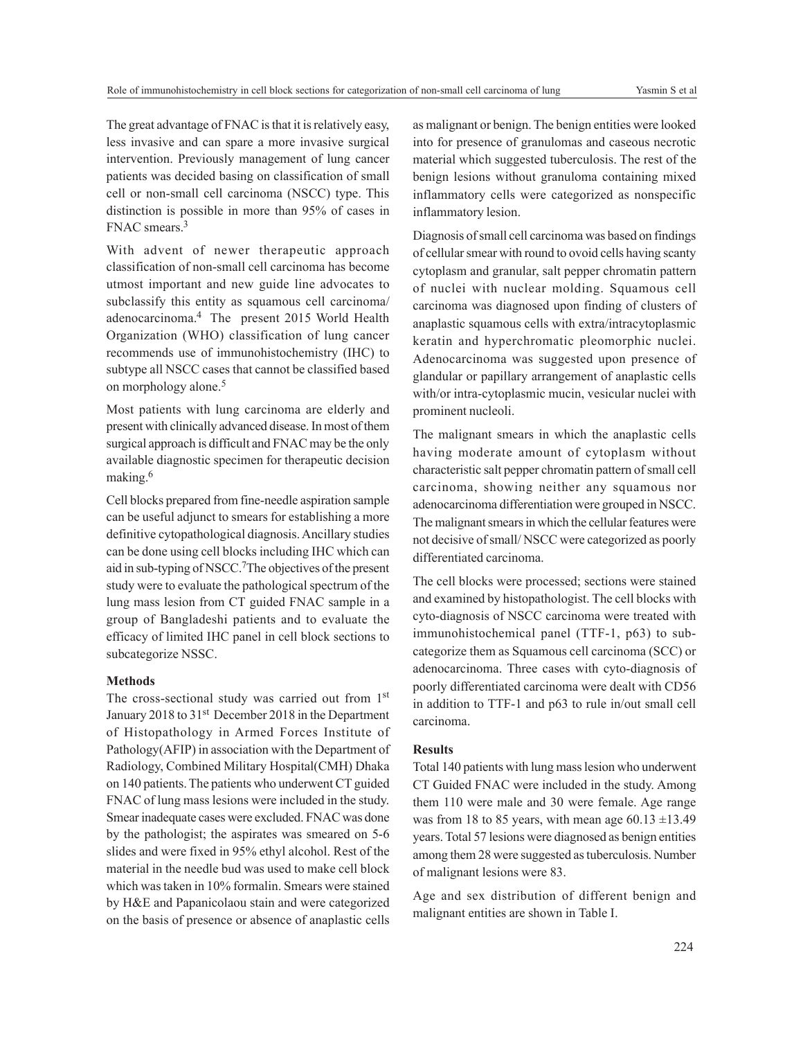The great advantage of FNAC is that it is relatively easy, less invasive and can spare a more invasive surgical intervention. Previously management of lung cancer patients was decided basing on classification of small cell or non-small cell carcinoma (NSCC) type. This distinction is possible in more than 95% of cases in FNAC smears.<sup>3</sup>

With advent of newer therapeutic approach classification of non-small cell carcinoma has become utmost important and new guide line advocates to subclassify this entity as squamous cell carcinoma/ adenocarcinoma.4 The present 2015 World Health Organization (WHO) classification of lung cancer recommends use of immunohistochemistry (IHC) to subtype all NSCC cases that cannot be classified based on morphology alone.<sup>5</sup>

Most patients with lung carcinoma are elderly and present with clinically advanced disease. In most of them surgical approach is difficult and FNAC may be the only available diagnostic specimen for therapeutic decision making.<sup>6</sup>

Cell blocks prepared from fine-needle aspiration sample can be useful adjunct to smears for establishing a more definitive cytopathological diagnosis. Ancillary studies can be done using cell blocks including IHC which can aid in sub-typing of NSCC.<sup>7</sup>The objectives of the present study were to evaluate the pathological spectrum of the lung mass lesion from CT guided FNAC sample in a group of Bangladeshi patients and to evaluate the efficacy of limited IHC panel in cell block sections to subcategorize NSSC.

#### **Methods**

The cross-sectional study was carried out from 1st January 2018 to 31<sup>st</sup> December 2018 in the Department of Histopathology in Armed Forces Institute of Pathology(AFIP) in association with the Department of Radiology, Combined Military Hospital(CMH) Dhaka on 140 patients. The patients who underwent CT guided FNAC of lung mass lesions were included in the study. Smear inadequate cases were excluded. FNAC was done by the pathologist; the aspirates was smeared on 5-6 slides and were fixed in 95% ethyl alcohol. Rest of the material in the needle bud was used to make cell block which was taken in 10% formalin. Smears were stained by H&E and Papanicolaou stain and were categorized on the basis of presence or absence of anaplastic cells

as malignant or benign. The benign entities were looked into for presence of granulomas and caseous necrotic material which suggested tuberculosis. The rest of the benign lesions without granuloma containing mixed inflammatory cells were categorized as nonspecific inflammatory lesion.

Diagnosis of small cell carcinoma was based on findings of cellular smear with round to ovoid cells having scanty cytoplasm and granular, salt pepper chromatin pattern of nuclei with nuclear molding. Squamous cell carcinoma was diagnosed upon finding of clusters of anaplastic squamous cells with extra/intracytoplasmic keratin and hyperchromatic pleomorphic nuclei. Adenocarcinoma was suggested upon presence of glandular or papillary arrangement of anaplastic cells with/or intra-cytoplasmic mucin, vesicular nuclei with prominent nucleoli.

The malignant smears in which the anaplastic cells having moderate amount of cytoplasm without characteristic salt pepper chromatin pattern of small cell carcinoma, showing neither any squamous nor adenocarcinoma differentiation were grouped in NSCC. The malignant smears in which the cellular features were not decisive of small/ NSCC were categorized as poorly differentiated carcinoma.

The cell blocks were processed; sections were stained and examined by histopathologist. The cell blocks with cyto-diagnosis of NSCC carcinoma were treated with immunohistochemical panel (TTF-1, p63) to subcategorize them as Squamous cell carcinoma (SCC) or adenocarcinoma. Three cases with cyto-diagnosis of poorly differentiated carcinoma were dealt with CD56 in addition to TTF-1 and p63 to rule in/out small cell carcinoma.

## **Results**

Total 140 patients with lung mass lesion who underwent CT Guided FNAC were included in the study. Among them 110 were male and 30 were female. Age range was from 18 to 85 years, with mean age  $60.13 \pm 13.49$ years. Total 57 lesions were diagnosed as benign entities among them 28 were suggested as tuberculosis. Number of malignant lesions were 83.

Age and sex distribution of different benign and malignant entities are shown in Table I.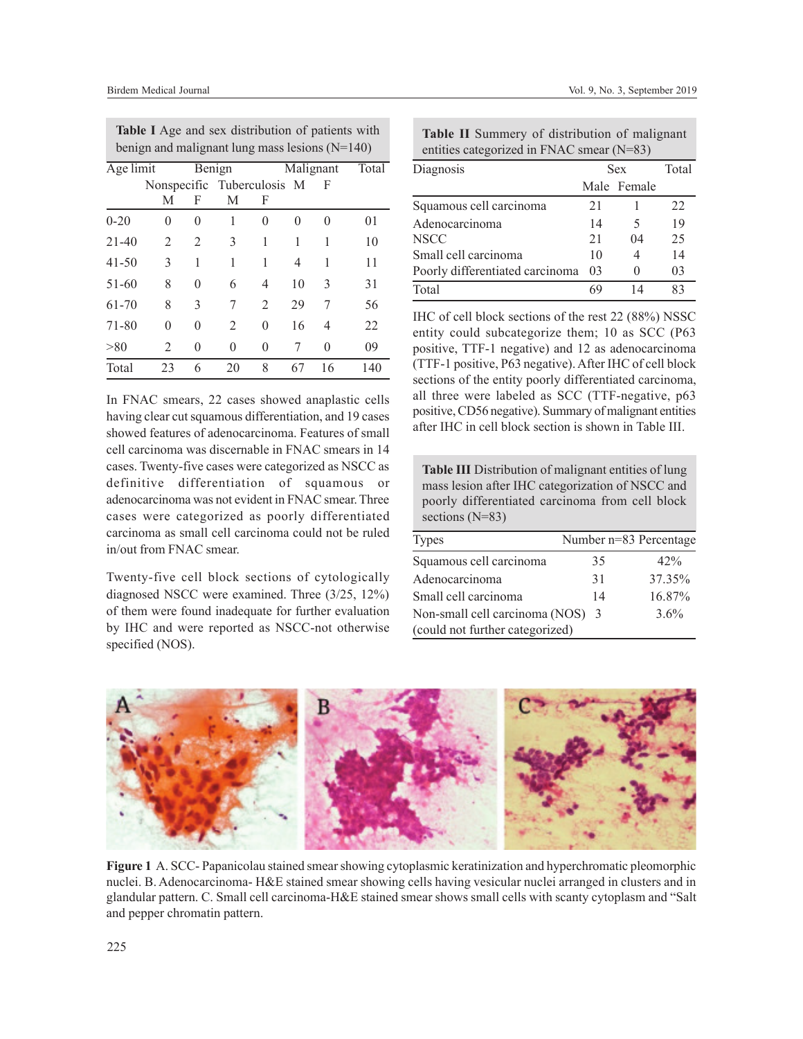| benign and malignant lung mass lesions ( $N=140$ ) |                            |          |                |                |           |    |       |  |  |
|----------------------------------------------------|----------------------------|----------|----------------|----------------|-----------|----|-------|--|--|
| Age limit                                          |                            |          | Benign         |                | Malignant |    | Total |  |  |
|                                                    | Nonspecific Tuberculosis M |          |                |                |           | F  |       |  |  |
|                                                    | М                          | F        | M              | F              |           |    |       |  |  |
| $0 - 20$                                           | 0                          | 0        | 1              | 0              | 0         | 0  | 01    |  |  |
| $21 - 40$                                          | $\mathfrak{D}$             | 2        | 3              | 1              | 1         | 1  | 10    |  |  |
| $41 - 50$                                          | 3                          | 1        | 1              | 1              | 4         | 1  | 11    |  |  |
| 51-60                                              | 8                          | $\theta$ | 6              | 4              | 10        | 3  | 31    |  |  |
| $61 - 70$                                          | 8                          | 3        | 7              | $\overline{2}$ | 29        | 7  | 56    |  |  |
| 71-80                                              | 0                          | $\theta$ | $\overline{2}$ | $\theta$       | 16        | 4  | 22    |  |  |
| > 80                                               | $\mathfrak{D}$             | $\theta$ | 0              | 0              | 7         | 0  | 09    |  |  |
| Total                                              | 23                         | 6        | 20             | 8              | 67        | 16 | 140   |  |  |

**Table I** Age and sex distribution of patients with

In FNAC smears, 22 cases showed anaplastic cells having clear cut squamous differentiation, and 19 cases showed features of adenocarcinoma. Features of small cell carcinoma was discernable in FNAC smears in 14 cases. Twenty-five cases were categorized as NSCC as definitive differentiation of squamous or adenocarcinoma was not evident in FNAC smear. Three cases were categorized as poorly differentiated carcinoma as small cell carcinoma could not be ruled in/out from FNAC smear.

Twenty-five cell block sections of cytologically diagnosed NSCC were examined. Three (3/25, 12%) of them were found inadequate for further evaluation by IHC and were reported as NSCC-not otherwise specified (NOS).

**Table II** Summery of distribution of malignant entities categorized in FNAC smear (N=83)

| Diagnosis                       | <b>Sex</b> | Total       |    |  |  |  |  |
|---------------------------------|------------|-------------|----|--|--|--|--|
|                                 |            | Male Female |    |  |  |  |  |
| Squamous cell carcinoma         | 21         |             | 22 |  |  |  |  |
| Adenocarcinoma                  | 14         | 5           | 19 |  |  |  |  |
| <b>NSCC</b>                     | 21         | 04          | 25 |  |  |  |  |
| Small cell carcinoma            | 10         |             | 14 |  |  |  |  |
| Poorly differentiated carcinoma | 03         |             | 03 |  |  |  |  |
| Total                           | ٢C         |             | 83 |  |  |  |  |

IHC of cell block sections of the rest 22 (88%) NSSC entity could subcategorize them; 10 as SCC (P63 positive, TTF-1 negative) and 12 as adenocarcinoma (TTF-1 positive, P63 negative). After IHC of cell block sections of the entity poorly differentiated carcinoma, all three were labeled as SCC (TTF-negative, p63 positive, CD56 negative). Summary of malignant entities after IHC in cell block section is shown in Table III.

**Table III** Distribution of malignant entities of lung mass lesion after IHC categorization of NSCC and poorly differentiated carcinoma from cell block sections (N=83)

| <b>Types</b>                    |    | Number n=83 Percentage |
|---------------------------------|----|------------------------|
| Squamous cell carcinoma         | 35 | $42\%$                 |
| Adenocarcinoma                  | 31 | 37.35%                 |
| Small cell carcinoma            | 14 | 16.87%                 |
| Non-small cell carcinoma (NOS)  | -3 | 3.6%                   |
| (could not further categorized) |    |                        |



**Figure 1** A. SCC- Papanicolau stained smear showing cytoplasmic keratinization and hyperchromatic pleomorphic nuclei. B. Adenocarcinoma- H&E stained smear showing cells having vesicular nuclei arranged in clusters and in glandular pattern. C. Small cell carcinoma-H&E stained smear shows small cells with scanty cytoplasm and "Salt and pepper chromatin pattern.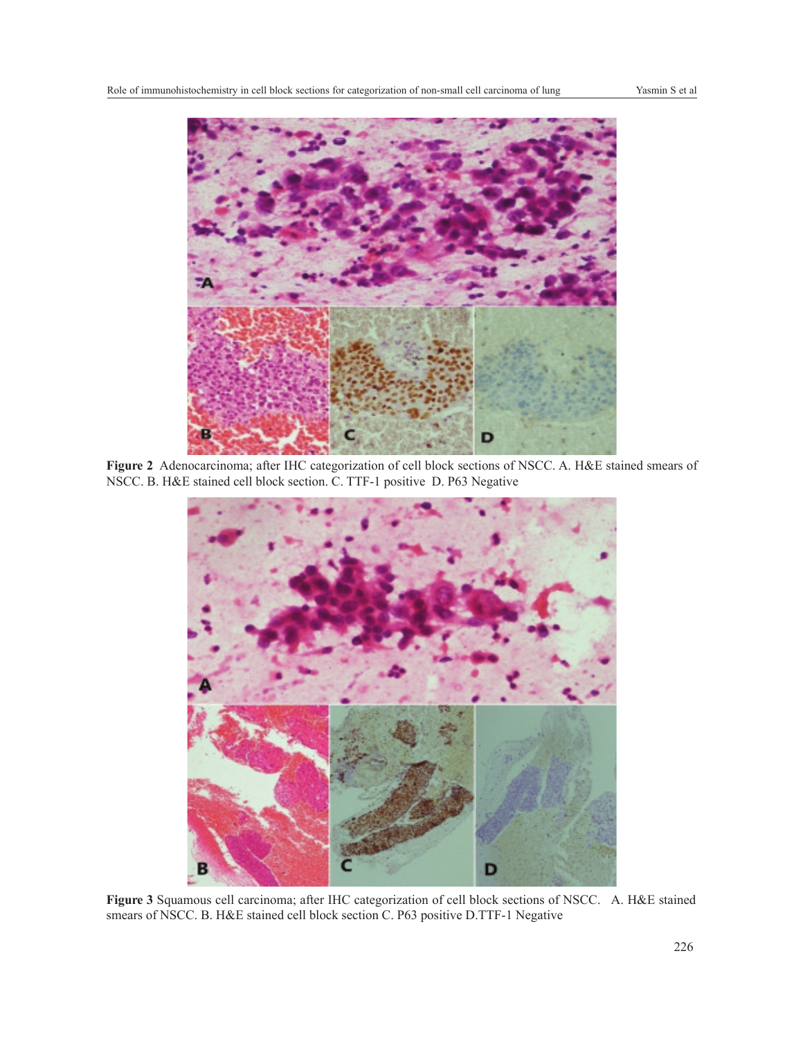

**Figure 2** Adenocarcinoma; after IHC categorization of cell block sections of NSCC. A. H&E stained smears of NSCC. B. H&E stained cell block section. C. TTF-1 positive D. P63 Negative



**Figure 3** Squamous cell carcinoma; after IHC categorization of cell block sections of NSCC. A. H&E stained smears of NSCC. B. H&E stained cell block section C. P63 positive D.TTF-1 Negative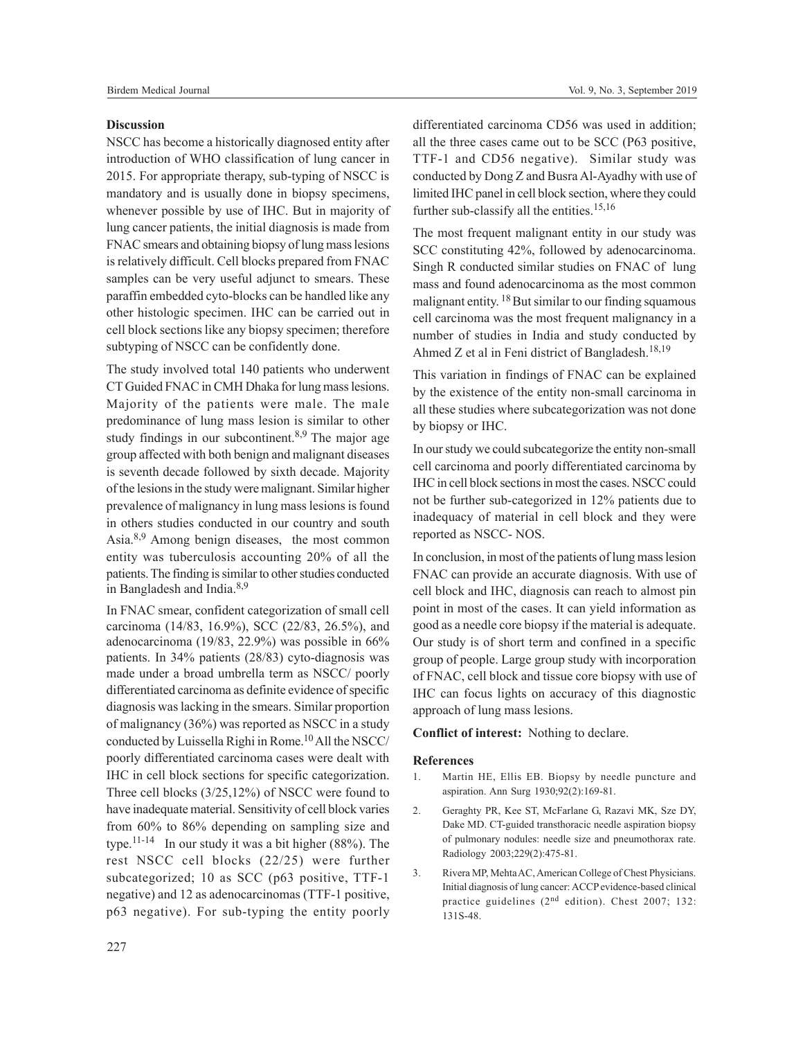NSCC has become a historically diagnosed entity after introduction of WHO classification of lung cancer in 2015. For appropriate therapy, sub-typing of NSCC is mandatory and is usually done in biopsy specimens, whenever possible by use of IHC. But in majority of lung cancer patients, the initial diagnosis is made from FNAC smears and obtaining biopsy of lung mass lesions is relatively difficult. Cell blocks prepared from FNAC samples can be very useful adjunct to smears. These paraffin embedded cyto-blocks can be handled like any other histologic specimen. IHC can be carried out in cell block sections like any biopsy specimen; therefore subtyping of NSCC can be confidently done.

The study involved total 140 patients who underwent CT Guided FNAC in CMH Dhaka for lung mass lesions. Majority of the patients were male. The male predominance of lung mass lesion is similar to other study findings in our subcontinent.<sup>8,9</sup> The major age group affected with both benign and malignant diseases is seventh decade followed by sixth decade. Majority of the lesions in the study were malignant. Similar higher prevalence of malignancy in lung mass lesions is found in others studies conducted in our country and south Asia.8,9 Among benign diseases, the most common entity was tuberculosis accounting 20% of all the patients. The finding is similar to other studies conducted in Bangladesh and India.<sup>8,9</sup>

In FNAC smear, confident categorization of small cell carcinoma (14/83, 16.9%), SCC (22/83, 26.5%), and adenocarcinoma (19/83, 22.9%) was possible in 66% patients. In 34% patients (28/83) cyto-diagnosis was made under a broad umbrella term as NSCC/ poorly differentiated carcinoma as definite evidence of specific diagnosis was lacking in the smears. Similar proportion of malignancy (36%) was reported as NSCC in a study conducted by Luissella Righi in Rome.<sup>10</sup> All the NSCC/ poorly differentiated carcinoma cases were dealt with IHC in cell block sections for specific categorization. Three cell blocks (3/25,12%) of NSCC were found to have inadequate material. Sensitivity of cell block varies from 60% to 86% depending on sampling size and type.<sup>11-14</sup> In our study it was a bit higher  $(88%)$ . The rest NSCC cell blocks (22/25) were further subcategorized; 10 as SCC (p63 positive, TTF-1 negative) and 12 as adenocarcinomas (TTF-1 positive, p63 negative). For sub-typing the entity poorly

differentiated carcinoma CD56 was used in addition; all the three cases came out to be SCC (P63 positive, TTF-1 and CD56 negative). Similar study was conducted by Dong Z and Busra Al-Ayadhy with use of limited IHC panel in cell block section, where they could further sub-classify all the entities.<sup>15,16</sup>

The most frequent malignant entity in our study was SCC constituting 42%, followed by adenocarcinoma. Singh R conducted similar studies on FNAC of lung mass and found adenocarcinoma as the most common malignant entity. <sup>18</sup> But similar to our finding squamous cell carcinoma was the most frequent malignancy in a number of studies in India and study conducted by Ahmed Z et al in Feni district of Bangladesh.18,19

This variation in findings of FNAC can be explained by the existence of the entity non-small carcinoma in all these studies where subcategorization was not done by biopsy or IHC.

In our study we could subcategorize the entity non-small cell carcinoma and poorly differentiated carcinoma by IHC in cell block sections in most the cases. NSCC could not be further sub-categorized in 12% patients due to inadequacy of material in cell block and they were reported as NSCC- NOS.

In conclusion, in most of the patients of lung mass lesion FNAC can provide an accurate diagnosis. With use of cell block and IHC, diagnosis can reach to almost pin point in most of the cases. It can yield information as good as a needle core biopsy if the material is adequate. Our study is of short term and confined in a specific group of people. Large group study with incorporation of FNAC, cell block and tissue core biopsy with use of IHC can focus lights on accuracy of this diagnostic approach of lung mass lesions.

**Conflict of interest:** Nothing to declare.

#### **References**

- 1. Martin HE, Ellis EB. Biopsy by needle puncture and aspiration. Ann Surg 1930;92(2):169-81.
- 2. Geraghty PR, Kee ST, McFarlane G, Razavi MK, Sze DY, Dake MD. CT-guided transthoracic needle aspiration biopsy of pulmonary nodules: needle size and pneumothorax rate. Radiology 2003;229(2):475-81.
- 3. Rivera MP, Mehta AC, American College of Chest Physicians. Initial diagnosis of lung cancer: ACCP evidence-based clinical practice guidelines (2nd edition). Chest 2007; 132: 131S-48.